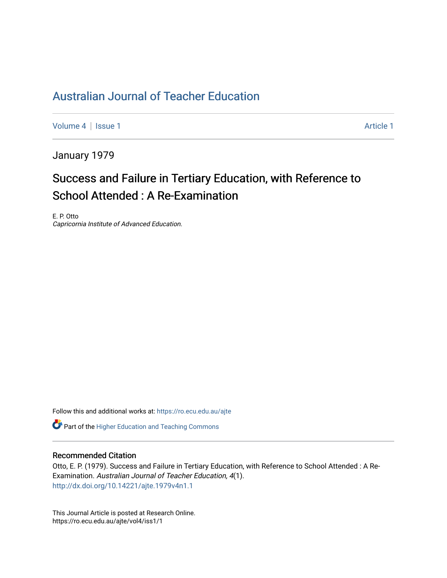## [Australian Journal of Teacher Education](https://ro.ecu.edu.au/ajte)

[Volume 4](https://ro.ecu.edu.au/ajte/vol4) | [Issue 1](https://ro.ecu.edu.au/ajte/vol4/iss1) Article 1

January 1979

# Success and Failure in Tertiary Education, with Reference to School Attended : A Re-Examination

E. P. Otto Capricornia Institute of Advanced Education.

Follow this and additional works at: [https://ro.ecu.edu.au/ajte](https://ro.ecu.edu.au/ajte?utm_source=ro.ecu.edu.au%2Fajte%2Fvol4%2Fiss1%2F1&utm_medium=PDF&utm_campaign=PDFCoverPages) 

**C** Part of the [Higher Education and Teaching Commons](http://network.bepress.com/hgg/discipline/806?utm_source=ro.ecu.edu.au%2Fajte%2Fvol4%2Fiss1%2F1&utm_medium=PDF&utm_campaign=PDFCoverPages)

### Recommended Citation

Otto, E. P. (1979). Success and Failure in Tertiary Education, with Reference to School Attended : A Re-Examination. Australian Journal of Teacher Education, 4(1). <http://dx.doi.org/10.14221/ajte.1979v4n1.1>

This Journal Article is posted at Research Online. https://ro.ecu.edu.au/ajte/vol4/iss1/1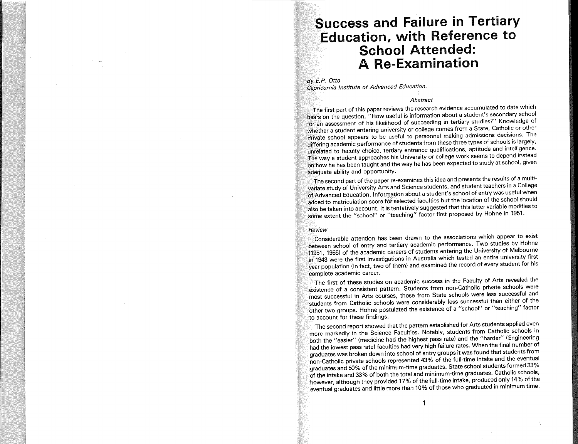### **Success and Failure in Tertiary Education, with Reference to School Attended: A Re-Examination**

*By E.P. Dtto* 

*Capricornia Institute of Advanced Education.* 

#### *Abstract*

The first part of this paper reviews the research evidence accumulated to date which bears on the question, "How useful is information about a student's secondary school for an assessment of his likelihood of succeeding in tertiary studies?" Knowledge of whether a student entering university or college comes from a State, Catholic or other Private school appears to be useful to personnel making admissions decisions. The differing academic performance of students from these three types of schools is largely, unrelated to faculty choice, tertiary entrance qualifications, aptitude and intelligence. The way a student approaches his University or college work seems to depend instead on how he has been taught and the way he has been expected to study at school, given adequate ability and opportunity.

The second part of the paper re-examines this idea and presents the results of a multivariate study of University Arts and Science students, and student teachers in a College of Advanced Education. Information about a student's school of entry was useful when added to matriculation score for selected faculties but the location of the school should also be taken into account. It is tentatively suggested that this latter variable modifies to some extent the "school" or "teaching" factor first proposed by Hohne in 1951.

#### *Review*

Considerable attention has been drawn to the associations which appear to exist between school of entry and tertiary academic performance. Two studies by Hohne (1951, 1955) of the academic careers of students entering the University of Melboume in 1943 were the first investigations in Australia which tested an entire university first year population (in fact, two of them) and examined the record of every student for his complete academic career.

The first of these studies on academic success in the Faculty of Arts revealed the existence of a consistent pattern. Students from non-Catholic private schools were most successful in Arts courses, those from State schools were less successful and students from Catholic schools were considerably less successful than either of the other two groups. Hohne postulated the existence of a "school" or "teaching" factor to account for these findings.

The second report showed that the pattern established for Arts students applied even more markedly in the Science Faculties. Notably, students from Catholic schools in both the "easier" (medicine had the highest pass rate) and the "harder" (Engineering had the lowest pass rate) faculties had very high failure rates. When the final number of graduates was broken down into school of entry groups it was found that students from non-Catholic private schools represented 43% of the full-time intake and the eventual  $\alpha$  graduates and 50% of the minimum-time graduates. State school students formed 33%  $\widetilde{\mathfrak{o}}$ f the intake and 33% of both the total and minimum-time graduates. Catholic schools, however, although they provided 17% of the full-time intake, produc3d only 14% of the eventual graduates and little more than 10% of those who graduated in minimum time.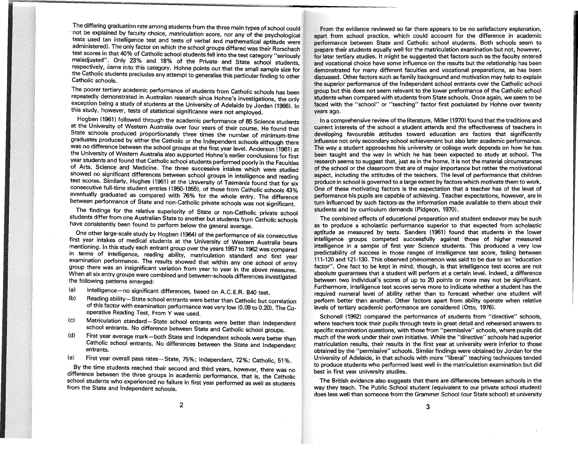The differing graduation rate among students from the three main types of school could not be explained by faculty choice, matriculation score, nor any of the psychological tests used (an intelligence test and tests of verbal and mathematical aptitude were administered). The only factor on which the school groups differed was their Rorschach test scores in that 40% of Catholic school students fell into the test category "seriously maladjusted". Only 23% and 18% of the Private and State school students, respectively, came into this category. Hohne points out that the small sample size for the Catholic students precludes any attempt to generalise this particular finding to other Catholic schools.

The poorer tertiary academic performance of students from Catholic schools has been repeatedly demonstrated in Australian research since Hohne's investigations, the only exception being a study of students at the University of Adelaide by Jordan (1966). In this study, however, tests of statistical significance were not employed.

Hogben (1961) followed through the academic performance of 85 Science students at the University of Western Australia over four years of their course. He found that State schools produced proportionately three times the number of minimum-time graduates produced by either the Catholic or the Independent schools although there was no difference between the school groups at the first year level. Anderson (1961) at the University of Western Australia also supported Hohne's earlier conclusions for first year students and found that Catholic school students performed poorly in the Faculties of Arts, SCience and Medicine. The three successive intakes which were studied showed no significant differences between school groups in intelligence and reading test scores. Similarly, Hughes (1961) at the University of Tasmania found that for six consecutive full-time student entries (1950-1955), of those from Catholic schools 43% eventually graduated as compared with 76% for the whole entry. The difference between performance of State and non-Catholic private schools was not significant.

The findings for the relative superiority of State or non-Catholic private school students differ from one Australian State to another but students from Catholic schools have consistently been found to perform below the general average.

One other large-scale study by Hogben (1964) of the performance of six consecutive first year intakes of medical students at the University of Western Australia bears mentioning. In this study each entrant group over the years 1957 to 1962 was compared in terms of intelligence, reading ability, matriculation standard and first year examination performance. The results showed that within anyone school of entry group there was an insignificant variation from year to year in the above measures. When all six entry groups were combined and between-schools differences investigated the following patterns emerged:

- (a) Intelligence no significant differences, based on A.C.E.R. B40 test.<br>(b) Reading ability State school entrants were botter than Cethelia but all
- Reading ability-State school entrants were better than Catholic but correlation of this factor with examination performance was very low (0.09 to 0.20). The Cooperative Reading Test, From Y was used.
- (c) Matriculation standard-State school entrants were better than Independent school entrants. No difference between State and Catholic school groups.
- (d) First year average mark-both State and Independent schools were better than Catholic school entrants. No differences between the State and Independent entrants.
- (e) First year overall pass rates-State, 75%; Independent, 72%; Catholic, 51 %.

. By the time students reached their second and third years, however, there was no difference between the three groups in academic performance, that is, the Catholic school students who experienced no failure in first year performed as well as students from the State and Independent schools.

From the evidence reviewed so far there appears to be no satisfactory explanation, apart from school practice, which could account for the difference in academic performance between State and Catholic school students. Both schools seem to prepare their students equally well for the matriculation examination but not, however, for later tertiary studies. It might be suggested that factors such as the faculty entered and vocational choice have some influence on the results but the relationship has been demonstrated for many different faculties and vocational preparations, as has been discussed. Other factors such as family background and motivation may help to explain the superior performance of the Independent school entrants over the Catholic school group but this does not seem relevant to the lower preformance of the Catholic school students when compared with students from State schools. Once again, we seem to be faced with the "school" or "teaching" factor first postulated by Hohne over twenty years ago.

In a comprehensive review of the literature, Miller (1970) found that the traditions and current interests of the school a student attends and the effectiveness of teachers in developing favourable attitudes toward education are factors that significantly influence not only secondary school achievement but also later academic performance. The way a student approaches his university or college work depends on how he has been taught and the way in which he has been expected to study at school. The research seems to suggest that, just as in the home, it is not the material circumstances of the school or the classroom that are of major importance but rather the motivational aspect, including the attitudes of. the teachers. The level of performance that children produce in school is governed to a large extent by factors which motivate them to work. One of these motivating factors is the expectation that a teacher has of the level of performance his pupils are capable of achieving. Teacher expectations, however, are in turn influenced by such factors as the information made available to them about their students and by curriculum demands (Pidgeon, 1970).

The combined effects of educational preparation and student endeavor may be such as to produce a scholastic performance superior to that expected from scholastic aptitude as measured by tests. Sanders (1961) found that students in the lower intelligence groups competed successfully against those of higher measured intelligence in a sample of first year Science students. This produced a very low predictability of success in those ranges of intelligence test score, falling between 111-120 and 121-130. This observed phenomenon was said to be due to an "education factor". One fact to be kept in mind, though, is that intelligence test scores are not absolute guarantees that a student will perform at a certain level. Indeed, a difference between two individual's scores of up to 20 points or more may not be significant. Furthermore, intelligence test scores serve more to indicate whether a student has the required numeral level of ability rather than to forecast whether one student will perform better than another. Other factors apart from ability operate when relative levels of tertiary academic performance are considered (Otto, 1976).

Schonell (1962) compared the performance of students from "directive" schools, where teachers took their pupils through texts in great detail and rehearsed answers to specific examination questions, with those from "permissive" schools, where pupils did much of the work under their own initiative. While the "directive" schools had superior matriculation results, their results in the first year at university were inferior to those obtained by the "permissive" schools. Similar findings were obtained by Jordan for the University of Adelaide, in that schools with more "liberal" teaching techniques tended to produce students who performed least well in the matriculation examination but did best in first year university studies.

The British evidence also suggests that there are differences between schools in the way they teach. The Public School student (equivalent to our private school student) does less well than someone from the Grammer School (our State school) at university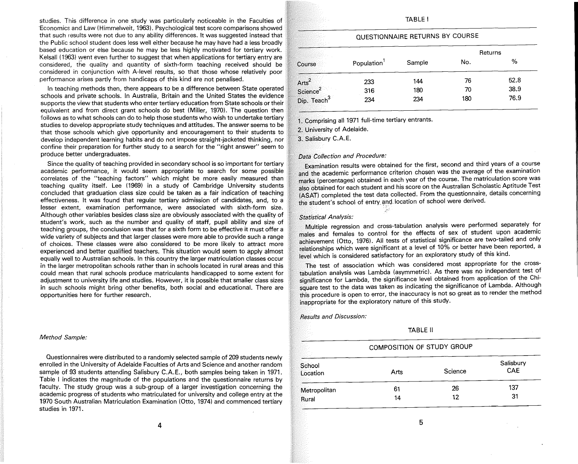studies. This difference in one study was particularly noticeable in the Faculties of 'Economics and Law (Himmelweit, 1963). Psychological test score comparisons showed that such results were not due to any ability differences. It was suggested instead that the Public school student does less well either because he may have had a less broadly based education or else because he may be less highly motivated for tertiary work. Kelsall (1963) went even further to suggest that when applications for tertiary entry are considered, the quality and quantity of sixth-form teaching received should be considered in conjunction with A-level results, so that those whose relatively poor performance arises partly from handicaps of this kind are not penalised.

In teaching methods then, there appears to be a difference between State operated schools and private schools. In Australia, Britain and the United States the evidence supports the view that students who enter tertiary education from State schools or their equivalent and from direct grant schools do best (Miller, 1970). The question then follows as to what schools can do to help those students who wish to undertake tertiary studies to develop appropriate study techniques and attitudes. The answer seems to be that those schools which give opportunity and encouragement to their students to develop independent learning habits and do not impose straight-jacketed thinking, nor confine their preparation for further study to a search for the "right answer" seem to produce better undergraduates.

Since the quality of teaching provided in secondary school is so important for tertiary academic performance, it would seem appropriate to search for some possible correlates of the "teaching factors" which might be more easily measured than teaching quality itself. Lee (1969) in a study of Cambridge University students concluded that graduation class size could be taken as a fair indication of teaching effectiveness. It was found that regular tertiary admission of candidates, and, to a lesser extent, examination performance, were associated with sixth-form size. Although other variables besides class size are obviously associated with the quality of student's work, such as the number and quality of staff, pupil ability and size of teaching groups, the conclusion was that for a sixth form to be effective it must offer a wide variety of subjects and that larger classes were more able to provide such a range of choices. These classes were also considered to be more likely to attract more experienced and better qualified teachers. This situation would seem to apply almost equally well to Australian schools. In this country the larger matriculation classes occur in the larger metropolitan schools rather than in schools located in rural areas and this could mean that rural schools produce matriculants handicapped to some extent for adjustment to university life and studies. However, it is possible that smaller class sizes in such schools might bring other benefits, both social and educational. There are opportunities here for further research.

#### *Method Sample:*

Questionnaires were distributed to a randomly selected sample of 209 students newly enrolled in the University of Adelaide Faculties of Arts and Science and another random sample of 93 students attending Salisbury C.A.E., both samples being taken in 1971. Table I indicates the magnitude of the populations and the questionnaire returns by faculty. The study group was a sub-group of a larger investigation concerning the academic progress of students who matriculated for university and college entry at the 1970 South Australian Matriculation Examination (Otto, 1974) and commenced tertiary studies in 1971.

#### TABLE I

#### QUESTIONNAIRE RETURNS BY COURSE

|                                                                      |            |        |     | Returns |
|----------------------------------------------------------------------|------------|--------|-----|---------|
| Course                                                               | Population | Sample | No. | %       |
|                                                                      | 233        | 144    | 76  | 52.8    |
|                                                                      | 316        | 180    | 70  | 38.9    |
| Arts <sup>2</sup><br>Science <sup>2</sup><br>Dip. Teach <sup>3</sup> | 234        | 234    | 180 | 76.9    |

1. Comprising all 1971 fUll-time tertiary entrants.

2. University of Adelaide.

3. Salisbury C.A.E.

#### *Data Collection and Procedure:*

Examination results were obtained for the first, second and third years of a course and the academic performance criterion chosen was the average of the examination marks (percentages) obtained in each year of the course. The matriculation score was also obtained for each student and his score on the Australian Scholastic Aptitude Test (ASAT) completed the test data collected. From the questionnaire, details concerning the student's school of entry and location of school were derived.

#### *Statistical Analysis:*

Multiple regression and cross-tabulation analysis were performed separately for males and females to control for the effects of sex of student upon academic achievement (Otto, 1976). All tests of statistical significance are two-tailed and only  $r$ elationships which were significant at a level of  $10\%$  or better have been reported, a level which is considered satisfactory for an exploratory study of this kind.

The test of association which was considered most appropriate for the crosstabulation analysis was Lambda (asymmetric). As there was no independent test of significance for Lambda, the significance level obtained from application of the Chlsquare test to the data was taken as indicating the significance of Lambda. Although this procedure is open to error, the inaccuracy is not so great as to render the method inappropriate for the exploratory nature of this study.

*Results and Discussion:* 

TABLE 11

#### COMPOSITION OF STUDY GROUP

| School<br>Location | Arts | Science | Salisbury<br>CAE |  |
|--------------------|------|---------|------------------|--|
| Metropolitan       | 61   | 26      | 137              |  |
| Rural              | 14   | 12      | 31               |  |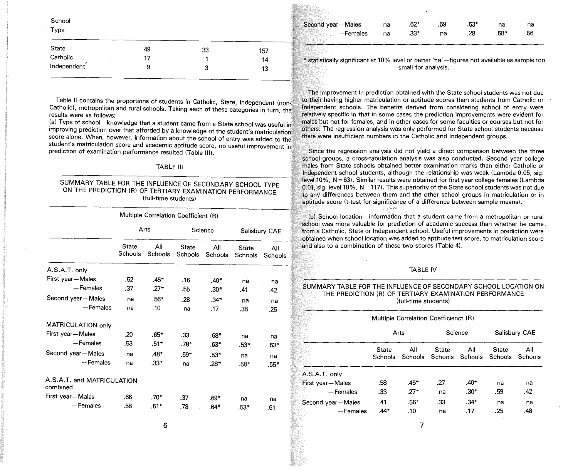School

Type

| State                      | 49 | 33 | 157 |
|----------------------------|----|----|-----|
| Catholic<br><b>Section</b> |    |    | 14  |
| Independent                | 9  | з  | 13  |

Table II contains the proportions of students in Catholic, State, Independent (non-Catholic), metropolitan and rural schools. Taking each of these categories in turn, the results were as follows:

(a) Type of school-knowledge that a student came from a State school was useful in Improving prediction over that afforded by a knowledge of the student's matriculation score alone. When, however, information about the school of entry was added to the student's matriculation score and academic aptitude score, no useful improvement in prediction of examination performance resulted (Table Ill).

#### TABLE III

#### SUMMARY TABLE FOR THE INFLUENCE OF SECONDARY SCHOOL TYPE ON THE PREDICTION (R) OF TERTIARY EXAMINATION PERFORMANCE (full-time students)

|                                        | Multiple Correlation Coefficient (R) |                |                         |                |                         |                |
|----------------------------------------|--------------------------------------|----------------|-------------------------|----------------|-------------------------|----------------|
|                                        | Arts                                 |                | Science                 |                | Salisbury CAE           |                |
|                                        | State<br>Schools                     | All<br>Schools | State<br><b>Schools</b> | All<br>Schools | <b>State</b><br>Schools | All<br>Schools |
| A.S.A.T. only                          |                                      |                |                         |                |                         |                |
| First year-Males                       | .52                                  | $.45*$         | .16                     | .40*           | na                      | na             |
| $-$ Females                            | .37                                  | .27*           | .55                     | $.30*$         | .41                     | .42            |
| Second year-Males                      | na                                   | $.56*$         | .28                     | $.34*$         | na                      | na             |
| $-$ Females                            | na                                   | .10            | na                      | .17            | .38                     | .25            |
| MATRICULATION only                     |                                      |                |                         |                |                         |                |
| First year-Males                       | .20                                  | $.65*$         | .33                     | $.68*$         | na                      | na             |
| -Females                               | -53                                  | $.51*$         | $.78*$                  | $.63*$         | $.53*$                  | .53*           |
| Second year-Males                      | na                                   | .48*           | .59*                    | $.53*$         | na                      | na             |
| - Females                              | na                                   | $.33*$         | na                      | $.28*$         | .58*                    | $.55*$         |
| A.S.A.T. and MATRICULATION<br>combined |                                      |                |                         |                |                         |                |
| First year-Males                       | .66                                  | $.70*$         | .37                     | .69*           | na                      | na             |
| $-$ Females                            | .58                                  | $.51*$         | .78                     | .64*           | $.53*$                  | .61            |

| Second year-Males | na | $.62*$ | .59 | .53* | na   |     |
|-------------------|----|--------|-----|------|------|-----|
| -Females          | na | $.33*$ | na  | .28  | .58* | .56 |

 $*$  statistically significant at 10% level or better 'na' -figures not available as sample too small for analysis.

The improvement in prediction obtained with the State school students was not due to their having higher matriculation or aptitude scores than students from Catholic or Independent schools. The benefits derived from considering school of entry were relatively specific in that in some cases the prediction improvements were evident for males but not for females, and in other cases for some faculties or courses but not for others. The regression analysis was only performed for State school students because there were insufficient numbers in the Catholic and Independent groups.

Since the regression analysis did not yield a direct comparison between the three school groups, a cross-tabulation analysis was also conducted. Second year college males from State schools obtained better examination marks than either Catholic or Independent school students, although the relationship was weak (Lambda 0.05, sig. level 10%, N = 63). Similar results were obtained for first year college females (Lambda  $0.01$ , sig. level 10%, N = 117). This superiority of the State school students was not due to any differences between them and the other school groups in matriculation or in aptitude score (t-test for significance of a difference between sample means).

(b) School location-information that a student came from a metropolitan or rural school was more valuable for prediction of academic success than whether he came. from a Catholic, State or Independent school. Useful improvements in prediction were obtained when school location was added to aptitude test score, to matriculation score and also to a combination of these two scores (Table 4).

طويران د

#### TABLE IV

#### SUMMARY TABLE FOR THE INFLUENCE OF SECONDARY SCHOOL LOCATION ON THE PREDICTION (R) OF TERTIARY EXAMINATION PERFORMANCE (full-time students)

|               |                                | Multiple Correlation Coefficienct (R) |             |                                                 |                |               |                |
|---------------|--------------------------------|---------------------------------------|-------------|-------------------------------------------------|----------------|---------------|----------------|
|               |                                | Arts                                  |             | Science                                         |                | Salisbury CAE |                |
|               |                                | <b>State</b><br>Schools               | All         | <b>State</b><br>Schools Schools Schools Schools | ΑIΙ            | State         | Ail<br>Schools |
| A.S.A.T. only |                                |                                       |             |                                                 |                |               |                |
|               | First year-Males               | .58                                   | .45*        | .27                                             | .40*           | na            | na             |
|               | -Females                       | .33                                   | $.27*$      | na                                              | $.30*$         | .59           | .42            |
|               | Second year-Males<br>— Females | .41<br>$.44*$                         | .56*<br>.10 | .33<br>na                                       | $.34*$<br>. 17 | na<br>.25     | na<br>.48      |

6

7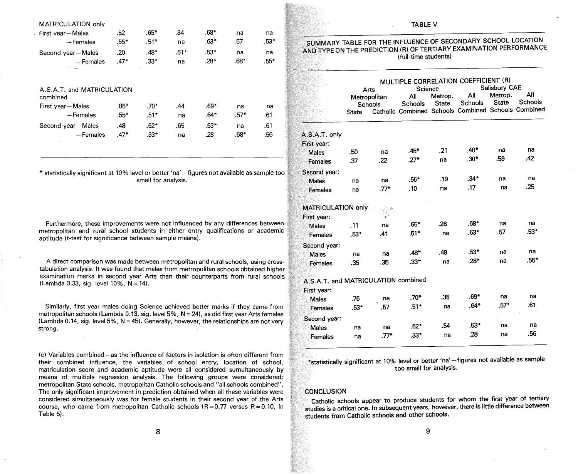| MATRICULATION only                     |        |        |        |        |        |        |
|----------------------------------------|--------|--------|--------|--------|--------|--------|
| First year-Males                       | .52    | $.65*$ | .34    | $.68*$ | na     | na     |
| — Females                              | $.55*$ | $.51*$ | na     | $.63*$ | .57    | $.53*$ |
| Second year-Males                      | .20    | $.48*$ | $.61*$ | $.53*$ | na     | na     |
| -Females                               | $.47*$ | $.33*$ | na     | $.28*$ | $.68*$ | $.55*$ |
| A.S.A.T. and MATRICULATION<br>combined |        |        |        |        |        |        |
| First year-Males                       | $.85*$ | $.70*$ | .44    | $.69*$ | na     | na     |
| - Females                              | $.55*$ | $.51*$ | na     | $.64*$ | $.57*$ | .61    |
| Second year-Males                      | .48    | $.62*$ | .65    | $.53*$ | na     | .61    |
| - Females                              | $.47*$ | $.33*$ | na     | .28    | $.68*$ | .56    |
|                                        |        |        |        |        |        |        |

\* statistically significant at 10% level or better 'na' -figures not available as sample too small for analysis.

Furthermore, these improvements were not influenced by any differences between metropolitan and rural school students in either entry qualifications or academic aptitude (t-test for significance between sample means).

A direct comparison was made between metropolitan and rural schools, using crosstabulation analysis. It was found that males from metropolitan schools obtained higher examination marks in second year Arts than their counterparts from rural schools (Lambda 0.33, sig. level  $10\%$ ,  $N = 14$ ).

Similarly, first year males doing Science achieved better marks if they came from metropolitan schools (Lambda 0.13, sig. level  $5\%$ ,  $N = 24$ ), as did first year Arts females (Lambda 0.14, sig. level 5%,  $N = 45$ ). Generally, however, the relationships are not very strong.

(c) Variables combined-as the influence of factors in isolation is often different from their combined influence, the variables of school entry, location of school, matriculation score and academic aptitude were all considered sumultaneously by means of multiple regression analysis. The following groups were considered; metropolitan State schools, metropolitan Catholic schools and "all schools combined". The only significant improvement in prediction obtained when all these variables were considered simultaneously was for female students in their second year of the Arts course, who came from metropolitan Catholic schools  $(R=0.77$  versus  $R=0.10$ , in Table 5).

#### TABLE V

#### SUMMARY TABLE FOR THE INFLUENCE OF SECONDARY SCHOOL LOCATION AND TYPE ON THE PREDICTION (R) OF TERTIARY EXAMINATION PERFORMANCE (full-time students)

|                                     | MULTIPLE CORRELATION COEFFICIENT (R) |                                                      |         |              |                                                     |              |         |  |
|-------------------------------------|--------------------------------------|------------------------------------------------------|---------|--------------|-----------------------------------------------------|--------------|---------|--|
|                                     |                                      | Arts                                                 | Science |              | Salisbury CAE                                       |              |         |  |
|                                     |                                      | Metropolitan                                         | All     | Metrop.      | All                                                 | Metrop.      | All     |  |
|                                     |                                      | Schools                                              | Schools | <b>State</b> | Schools                                             | <b>State</b> | Schools |  |
|                                     | <b>State</b>                         |                                                      |         |              | Catholic Combined Schools Combined Schools Combined |              |         |  |
| A.S.A.T. only                       |                                      |                                                      |         |              |                                                     |              |         |  |
| First year:                         |                                      |                                                      |         |              |                                                     |              |         |  |
| <b>Males</b>                        | .50                                  | na                                                   | $.45*$  | .21          | $.40*$                                              | na           | na      |  |
| Females                             | .37                                  | .22                                                  | $.27*$  | na           | $.30*$                                              | .59          | .42     |  |
| Second year:                        |                                      |                                                      |         |              |                                                     |              |         |  |
| <b>Males</b>                        | na                                   | na                                                   | $.56*$  | .19          | $.34*$                                              | na           | na      |  |
| Females                             | na                                   | $.77*$                                               | .10     | na           | .17                                                 | na           | .25     |  |
| <b>MATRICULATION only</b>           |                                      |                                                      |         |              |                                                     |              |         |  |
| First year:                         |                                      | ∗1و √ <sub>رتون</sub><br>$\mathcal{A}^{\mathcal{L}}$ |         |              |                                                     |              |         |  |
| <b>Males</b>                        | .11                                  | na                                                   | $.65*$  | .26          | $.68*$                                              | na           | na      |  |
| Females                             | $.53*$                               | .41                                                  | $.51*$  | na           | $.63*$                                              | .57          | .53*    |  |
|                                     |                                      |                                                      |         |              |                                                     |              |         |  |
| Second year:                        |                                      |                                                      |         |              | $.53*$                                              |              | na      |  |
| Males                               | na                                   | na                                                   | $.48*$  | .49          |                                                     | na           | $.55*$  |  |
| Females                             | .35                                  | .35                                                  | $.33*$  | na           | $.28*$                                              | na           |         |  |
| A.S.A.T. and MATRICULATION combined |                                      |                                                      |         |              |                                                     |              |         |  |
| First year:                         |                                      |                                                      |         |              |                                                     |              |         |  |
| Males                               | .76                                  | na                                                   | $.70*$  | .35          | .69*                                                | na           | na      |  |
| Females                             | $.53*$                               | .57                                                  | $.51*$  | na           | $.64*$                                              | $.57*$       | .61     |  |
| Second year:                        |                                      |                                                      |         |              |                                                     |              |         |  |
| Males                               | na                                   | na                                                   | $.62*$  | .54          | .53*                                                | na           | na      |  |
| Females                             | na                                   | $.77*$                                               | .33*    | na           | .28                                                 | na           | .56     |  |

\*statistically significant at 10% level or better 'na' -figures not available as sample too small for analysis.

#### **CONCLUSION**

Catholic schools appear to produce students for whom the first year of tertiary studies is a critical one. In subsequent years, however, there is little difference between students from Catholic schools and other schools.